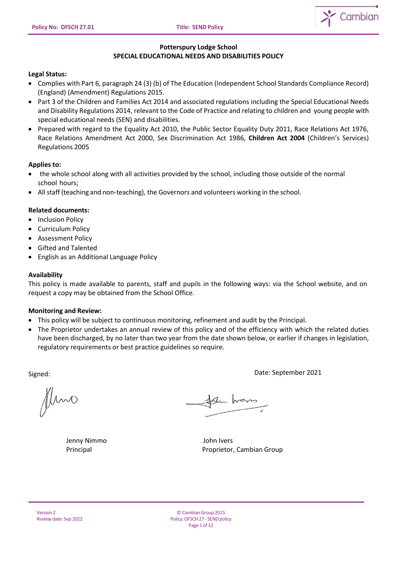

# **Potterspury Lodge School SPECIAL EDUCATIONAL NEEDS AND DISABILITIES POLICY**

# **Legal Status:**

- Complies with Part 6, paragraph 24 (3) (b) of The Education (Independent School Standards Compliance Record) (England) (Amendment) Regulations 2015.
- Part 3 of the Children and Families Act 2014 and associated regulations including the Special Educational Needs and Disability Regulations 2014, relevant to the Code of Practice and relating to children and young people with special educational needs (SEN) and disabilities.
- Prepared with regard to the Equality Act 2010, the Public Sector Equality Duty 2011, Race Relations Act 1976, Race Relations Amendment Act 2000, Sex Discrimination Act 1986, **Children Act 2004** (Children's Services) Regulations 2005

# **Applies to:**

- the whole school along with all activities provided by the school, including those outside of the normal school hours;
- All staff (teaching and non-teaching), the Governors and volunteers working in the school.

# **Related documents:**

- Inclusion Policy
- Curriculum Policy
- Assessment Policy
- Gifted and Talented
- English as an Additional Language Policy

# **Availability**

This policy is made available to parents, staff and pupils in the following ways: via the School website, and on request a copy may be obtained from the School Office.

# **Monitoring and Review:**

- This policy will be subject to continuous monitoring, refinement and audit by the Principal.
- The Proprietor undertakes an annual review of this policy and of the efficiency with which the related duties have been discharged, by no later than two year from the date shown below, or earlier if changes in legislation, regulatory requirements or best practice guidelines so require.

Signed: Date: September 2021

fluno

Jenny Nimmo John Ivers

the home

Principal Proprietor, Cambian Group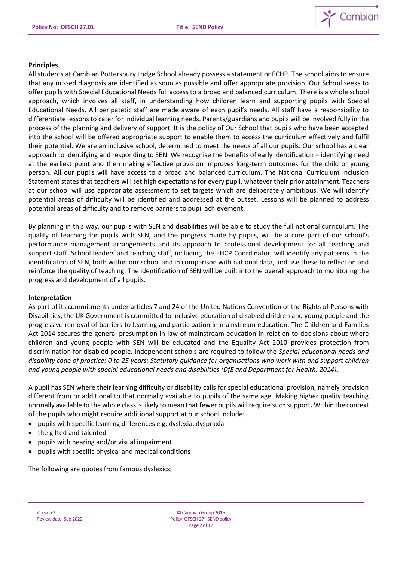

#### **Principles**

All students at Cambian Potterspury Lodge School already possess a statement or ECHP. The school aims to ensure that any missed diagnosis are identified as soon as possible and offer appropriate provision. Our School seeks to offer pupils with Special Educational Needs full access to a broad and balanced curriculum. There is a whole school approach, which involves all staff, in understanding how children learn and supporting pupils with Special Educational Needs. All peripatetic staff are made aware of each pupil's needs. All staff have a responsibility to differentiate lessons to cater for individual learning needs. Parents/guardians and pupils will be involved fully in the process of the planning and delivery of support. It is the policy of Our School that pupils who have been accepted into the school will be offered appropriate support to enable them to access the curriculum effectively and fulfil their potential. We are an inclusive school, determined to meet the needs of all our pupils. Our school has a clear approach to identifying and responding to SEN. We recognise the benefits of early identification – identifying need at the earliest point and then making effective provision improves long-term outcomes for the child or young person. All our pupils will have access to a broad and balanced curriculum. The National Curriculum Inclusion Statement states that teachers willset high expectations for every pupil, whatever their prior attainment. Teachers at our school will use appropriate assessment to set targets which are deliberately ambitious. We will identify potential areas of difficulty will be identified and addressed at the outset. Lessons will be planned to address potential areas of difficulty and to remove barriers to pupil achievement.

By planning in this way, our pupils with SEN and disabilities will be able to study the full national curriculum. The quality of teaching for pupils with SEN, and the progress made by pupils, will be a core part of our school's performance management arrangements and its approach to professional development for all teaching and support staff. School leaders and teaching staff, including the EHCP Coordinator, will identify any patterns in the identification of SEN, both within our school and in comparison with national data, and use these to reflect on and reinforce the quality of teaching. The identification of SEN will be built into the overall approach to monitoring the progress and development of all pupils.

# **Interpretation**

As part of its commitments under articles 7 and 24 of the United Nations Convention of the Rights of Persons with Disabilities, the UK Government is committed to inclusive education of disabled children and young people and the progressive removal of barriers to learning and participation in mainstream education. The Children and Families Act 2014 secures the general presumption in law of mainstream education in relation to decisions about where children and young people with SEN will be educated and the Equality Act 2010 provides protection from discrimination for disabled people. Independent schools are required to follow the *Special educational needs and disability code of practice: 0 to 25 years: Statutory guidance for organisations who work with and support children and young people with special educational needs and disabilities (DfE and Department for Health: 2014).*

A pupil has SEN where their learning difficulty or disability calls for special educational provision, namely provision different from or additional to that normally available to pupils of the same age. Making higher quality teaching normally available to the whole classislikely to mean that fewer pupils will require such support**.** Within the context of the pupils who might require additional support at our school include:

- pupils with specific learning differences e.g. dyslexia, dyspraxia
- the gifted and talented
- pupils with hearing and/or visual impairment
- pupils with specific physical and medical conditions

The following are quotes from famous dyslexics;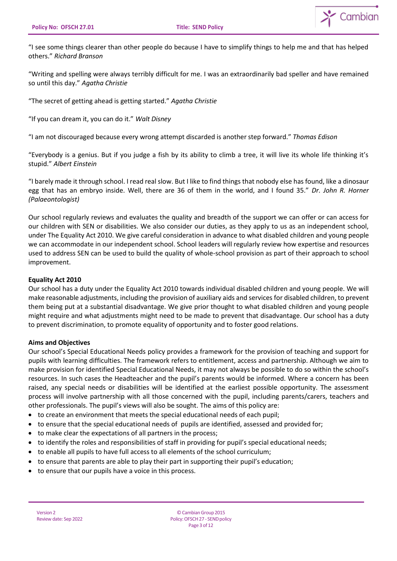

"I see some things clearer than other people do because I have to simplify things to help me and that has helped others." *Richard Branson*

"Writing and spelling were always terribly difficult for me. I was an extraordinarily bad speller and have remained so until this day." *Agatha Christie*

"The secret of getting ahead is getting started." *Agatha Christie*

"If you can dream it, you can do it." *Walt Disney*

"I am not discouraged because every wrong attempt discarded is another step forward." *Thomas Edison*

"Everybody is a genius. But if you judge a fish by its ability to climb a tree, it will live its whole life thinking it's stupid." *Albert Einstein*

"I barely made it through school. I read real slow. But I like to find things that nobody else has found, like a dinosaur egg that has an embryo inside. Well, there are 36 of them in the world, and I found 35." *Dr. John R. Horner (Palaeontologist)*

Our school regularly reviews and evaluates the quality and breadth of the support we can offer or can access for our children with SEN or disabilities. We also consider our duties, as they apply to us as an independent school, under The Equality Act 2010. We give careful consideration in advance to what disabled children and young people we can accommodate in our independent school. School leaders will regularly review how expertise and resources used to address SEN can be used to build the quality of whole-school provision as part of their approach to school improvement.

#### **Equality Act 2010**

Our school has a duty under the Equality Act 2010 towards individual disabled children and young people. We will make reasonable adjustments, including the provision of auxiliary aids and services for disabled children, to prevent them being put at a substantial disadvantage. We give prior thought to what disabled children and young people might require and what adjustments might need to be made to prevent that disadvantage. Our school has a duty to prevent discrimination, to promote equality of opportunity and to foster good relations.

#### **Aims and Objectives**

Our school's Special Educational Needs policy provides a framework for the provision of teaching and support for pupils with learning difficulties. The framework refers to entitlement, access and partnership. Although we aim to make provision for identified Special Educational Needs, it may not always be possible to do so within the school's resources. In such cases the Headteacher and the pupil's parents would be informed. Where a concern has been raised, any special needs or disabilities will be identified at the earliest possible opportunity. The assessment process will involve partnership with all those concerned with the pupil, including parents/carers, teachers and other professionals. The pupil's views will also be sought. The aims of this policy are:

- to create an environment that meets the special educational needs of each pupil;
- to ensure that the special educational needs of pupils are identified, assessed and provided for;
- to make clear the expectations of all partners in the process;
- to identify the roles and responsibilities of staff in providing for pupil's special educational needs;
- to enable all pupils to have full access to all elements of the school curriculum;
- to ensure that parents are able to play their part in supporting their pupil's education;
- to ensure that our pupils have a voice in this process.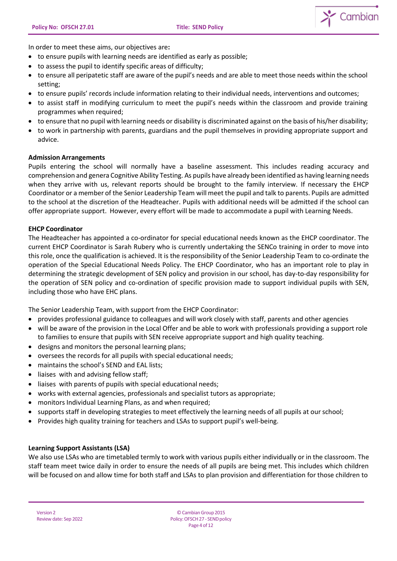$\sum$  Cambian

In order to meet these aims, our objectives are**:**

- to ensure pupils with learning needs are identified as early as possible;
- to assess the pupil to identify specific areas of difficulty;
- to ensure all peripatetic staff are aware of the pupil's needs and are able to meet those needs within the school setting;
- to ensure pupils' records include information relating to their individual needs, interventions and outcomes;
- to assist staff in modifying curriculum to meet the pupil's needs within the classroom and provide training programmes when required;
- to ensure that no pupil with learning needs or disability is discriminated against on the basis of his/her disability;
- to work in partnership with parents, guardians and the pupil themselves in providing appropriate support and advice.

#### **Admission Arrangements**

Pupils entering the school will normally have a baseline assessment. This includes reading accuracy and comprehension and genera Cognitive Ability Testing. As pupils have already been identified as having learning needs when they arrive with us, relevant reports should be brought to the family interview. If necessary the EHCP Coordinator or a member of the Senior Leadership Team will meet the pupil and talk to parents. Pupils are admitted to the school at the discretion of the Headteacher. Pupils with additional needs will be admitted if the school can offer appropriate support. However, every effort will be made to accommodate a pupil with Learning Needs.

### **EHCP Coordinator**

The Headteacher has appointed a co-ordinator for special educational needs known as the EHCP coordinator. The current EHCP Coordinator is Sarah Rubery who is currently undertaking the SENCo training in order to move into this role, once the qualification is achieved. It is the responsibility of the Senior Leadership Team to co-ordinate the operation of the Special Educational Needs Policy. The EHCP Coordinator, who has an important role to play in determining the strategic development of SEN policy and provision in our school, has day-to-day responsibility for the operation of SEN policy and co-ordination of specific provision made to support individual pupils with SEN, including those who have EHC plans.

The Senior Leadership Team, with support from the EHCP Coordinator:

- provides professional guidance to colleagues and will work closely with staff, parents and other agencies
- will be aware of the provision in the Local Offer and be able to work with professionals providing a support role to families to ensure that pupils with SEN receive appropriate support and high quality teaching.
- designs and monitors the personal learning plans;
- oversees the records for all pupils with special educational needs;
- maintains the school's SEND and EAL lists;
- liaises with and advising fellow staff;
- liaises with parents of pupils with special educational needs;
- works with external agencies, professionals and specialist tutors as appropriate;
- monitors Individual Learning Plans, as and when required;
- supports staff in developing strategies to meet effectively the learning needs of all pupils at our school;
- Provides high quality training for teachers and LSAs to support pupil's well-being.

#### **Learning Support Assistants (LSA)**

We also use LSAs who are timetabled termly to work with various pupils either individually or in the classroom. The staff team meet twice daily in order to ensure the needs of all pupils are being met. This includes which children will be focused on and allow time for both staff and LSAs to plan provision and differentiation for those children to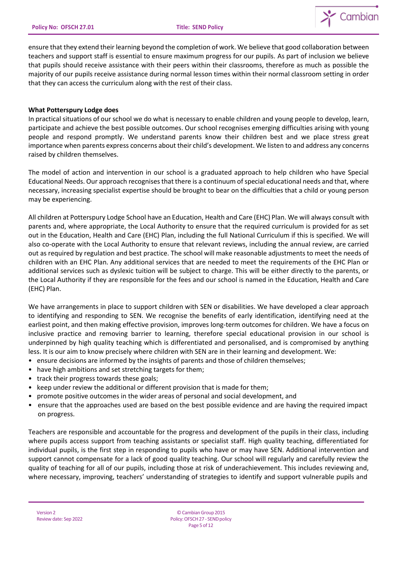

ensure that they extend their learning beyond the completion of work. We believe that good collaboration between teachers and support staff is essential to ensure maximum progress for our pupils. As part of inclusion we believe that pupils should receive assistance with their peers within their classrooms, therefore as much as possible the majority of our pupils receive assistance during normal lesson times within their normal classroom setting in order that they can access the curriculum along with the rest of their class.

### **What Potterspury Lodge does**

In practical situations of our school we do what is necessary to enable children and young people to develop, learn, participate and achieve the best possible outcomes. Our school recognises emerging difficulties arising with young people and respond promptly. We understand parents know their children best and we place stress great importance when parents express concerns about their child's development. We listen to and address any concerns raised by children themselves.

The model of action and intervention in our school is a graduated approach to help children who have Special Educational Needs. Our approach recognisesthat there is a continuum ofspecial educational needs and that, where necessary, increasing specialist expertise should be brought to bear on the difficulties that a child or young person may be experiencing.

All children at Potterspury Lodge School have an Education, Health and Care (EHC) Plan. We will always consult with parents and, where appropriate, the Local Authority to ensure that the required curriculum is provided for as set out in the Education, Health and Care (EHC) Plan, including the full National Curriculum if this is specified. We will also co-operate with the Local Authority to ensure that relevant reviews, including the annual review, are carried out as required by regulation and best practice. The school will make reasonable adjustments to meet the needs of children with an EHC Plan. Any additional services that are needed to meet the requirements of the EHC Plan or additional services such as dyslexic tuition will be subject to charge. This will be either directly to the parents, or the Local Authority if they are responsible for the fees and our school is named in the Education, Health and Care (EHC) Plan.

We have arrangements in place to support children with SEN or disabilities. We have developed a clear approach to identifying and responding to SEN. We recognise the benefits of early identification, identifying need at the earliest point, and then making effective provision, improves long-term outcomes for children. We have a focus on inclusive practice and removing barrier to learning, therefore special educational provision in our school is underpinned by high quality teaching which is differentiated and personalised, and is compromised by anything less. It is our aim to know precisely where children with SEN are in their learning and development. We:

- ensure decisions are informed by the insights of parents and those of children themselves;
- have high ambitions and set stretching targets for them;
- track their progress towards these goals;
- keep under review the additional or different provision that is made for them;
- promote positive outcomes in the wider areas of personal and social development, and
- ensure that the approaches used are based on the best possible evidence and are having the required impact on progress.

Teachers are responsible and accountable for the progress and development of the pupils in their class, including where pupils access support from teaching assistants or specialist staff. High quality teaching, differentiated for individual pupils, is the first step in responding to pupils who have or may have SEN. Additional intervention and support cannot compensate for a lack of good quality teaching. Our school will regularly and carefully review the quality of teaching for all of our pupils, including those at risk of underachievement. This includes reviewing and, where necessary, improving, teachers' understanding of strategies to identify and support vulnerable pupils and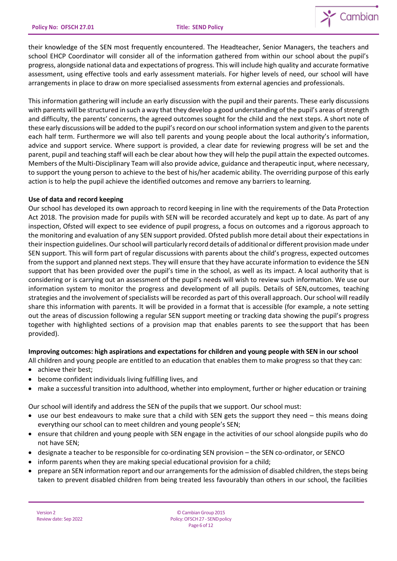

their knowledge of the SEN most frequently encountered. The Headteacher, Senior Managers, the teachers and school EHCP Coordinator will consider all of the information gathered from within our school about the pupil's progress, alongside national data and expectations of progress. This will include high quality and accurate formative assessment, using effective tools and early assessment materials. For higher levels of need, our school will have arrangements in place to draw on more specialised assessments from external agencies and professionals.

This information gathering will include an early discussion with the pupil and their parents. These early discussions with parents will be structured in such a way that they develop a good understanding of the pupil's areas of strength and difficulty, the parents' concerns, the agreed outcomes sought for the child and the next steps. A short note of these early discussions will be added to the pupil's record on our school information system and given to the parents each half term. Furthermore we will also tell parents and young people about the local authority's information, advice and support service. Where support is provided, a clear date for reviewing progress will be set and the parent, pupil and teaching staff will each be clear about how they will help the pupil attain the expected outcomes. Members of the Multi-Disciplinary Team will also provide advice, guidance and therapeutic input, where necessary, to support the young person to achieve to the best of his/her academic ability. The overriding purpose of this early action is to help the pupil achieve the identified outcomes and remove any barriers to learning.

# **Use of data and record keeping**

Our school has developed its own approach to record keeping in line with the requirements of the Data Protection Act 2018. The provision made for pupils with SEN will be recorded accurately and kept up to date. As part of any inspection, Ofsted will expect to see evidence of pupil progress, a focus on outcomes and a rigorous approach to the monitoring and evaluation of any SEN support provided. Ofsted publish more detail about their expectations in their inspection guidelines. Our school will particularly record details of additional or different provision made under SEN support. This will form part of regular discussions with parents about the child's progress, expected outcomes from the support and planned next steps. They will ensure that they have accurate information to evidence the SEN support that has been provided over the pupil's time in the school, as well as its impact. A local authority that is considering or is carrying out an assessment of the pupil's needs will wish to review such information. We use our information system to monitor the progress and development of all pupils. Details of SEN,outcomes, teaching strategies and the involvement of specialists will be recorded as part of this overall approach. Our school will readily share this information with parents. It will be provided in a format that is accessible (for example, a note setting out the areas of discussion following a regular SEN support meeting or tracking data showing the pupil's progress together with highlighted sections of a provision map that enables parents to see thesupport that has been provided).

# **Improving outcomes: high aspirations and expectations for children and young people with SEN in our school**

- All children and young people are entitled to an education that enables them to make progress so that they can:
- achieve their best;
- become confident individuals living fulfilling lives, and
- make a successful transition into adulthood, whether into employment, further or higher education or training

Our school will identify and address the SEN of the pupils that we support. Our school must:

- use our best endeavours to make sure that a child with SEN gets the support they need this means doing everything our school can to meet children and young people's SEN;
- ensure that children and young people with SEN engage in the activities of our school alongside pupils who do not have SEN;
- designate a teacher to be responsible for co-ordinating SEN provision the SEN co-ordinator, or SENCO
- inform parents when they are making special educational provision for a child;
- prepare an SEN information report and our arrangements forthe admission of disabled children, the steps being taken to prevent disabled children from being treated less favourably than others in our school, the facilities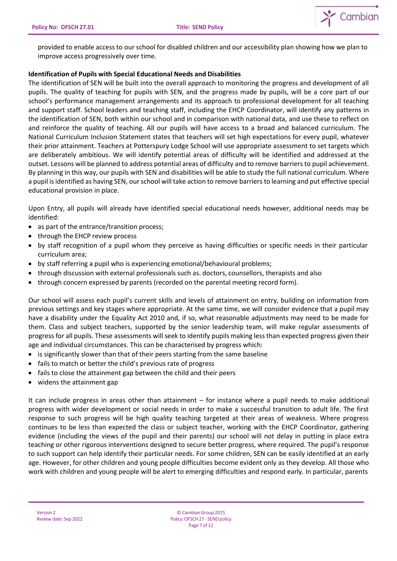

provided to enable access to our school for disabled children and our accessibility plan showing how we plan to improve access progressively over time.

# **Identification of Pupils with Special Educational Needs and Disabilities**

The identification of SEN will be built into the overall approach to monitoring the progress and development of all pupils. The quality of teaching for pupils with SEN, and the progress made by pupils, will be a core part of our school's performance management arrangements and its approach to professional development for all teaching and support staff. School leaders and teaching staff, including the EHCP Coordinator, will identify any patterns in the identification of SEN, both within our school and in comparison with national data, and use these to reflect on and reinforce the quality of teaching. All our pupils will have access to a broad and balanced curriculum. The National Curriculum Inclusion Statement states that teachers will set high expectations for every pupil, whatever their prior attainment. Teachers at Potterspury Lodge School will use appropriate assessment to set targets which are deliberately ambitious. We will identify potential areas of difficulty will be identified and addressed at the outset. Lessons will be planned to address potential areas of difficulty and to remove barriers to pupil achievement. By planning in this way, our pupils with SEN and disabilities will be able to study the full national curriculum. Where a pupil is identified as having SEN, our school will take action to remove barriers to learning and put effective special educational provision in place.

Upon Entry, all pupils will already have identified special educational needs however, additional needs may be identified:

- as part of the entrance/transition process;
- through the EHCP review process
- by staff recognition of a pupil whom they perceive as having difficulties or specific needs in their particular curriculum area;
- by staff referring a pupil who is experiencing emotional/behavioural problems;
- through discussion with external professionals such as. doctors, counsellors, therapists and also
- through concern expressed by parents (recorded on the parental meeting record form).

Our school will assess each pupil's current skills and levels of attainment on entry, building on information from previous settings and key stages where appropriate. At the same time, we will consider evidence that a pupil may have a disability under the Equality Act 2010 and, if so, what reasonable adjustments may need to be made for them. Class and subject teachers, supported by the senior leadership team, will make regular assessments of progress for all pupils. These assessments will seek to identify pupils making less than expected progress given their age and individual circumstances. This can be characterised by progress which:

- is significantly slower than that of their peers starting from the same baseline
- fails to match or better the child's previous rate of progress
- fails to close the attainment gap between the child and their peers
- widens the attainment gap

It can include progress in areas other than attainment – for instance where a pupil needs to make additional progress with wider development or social needs in order to make a successful transition to adult life. The first response to such progress will be high quality teaching targeted at their areas of weakness. Where progress continues to be less than expected the class or subject teacher, working with the EHCP Coordinator, gathering evidence (including the views of the pupil and their parents) our school will not delay in putting in place extra teaching or other rigorous interventions designed to secure better progress, where required. The pupil's response to such support can help identify their particular needs. For some children, SEN can be easily identified at an early age. However, for other children and young people difficulties become evident only as they develop. All those who work with children and young people will be alert to emerging difficulties and respond early. In particular, parents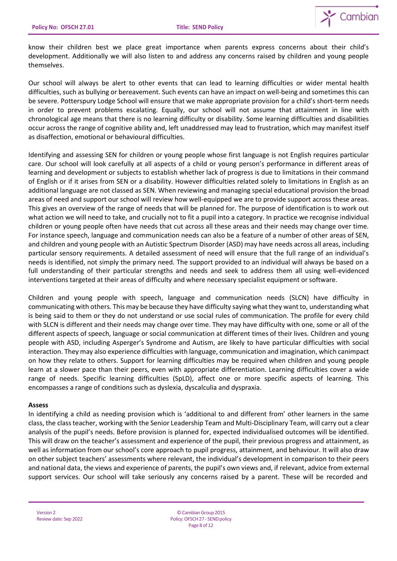

know their children best we place great importance when parents express concerns about their child's development. Additionally we will also listen to and address any concerns raised by children and young people themselves.

Our school will always be alert to other events that can lead to learning difficulties or wider mental health difficulties, such as bullying or bereavement. Such events can have an impact on well-being and sometimes this can be severe. Potterspury Lodge School will ensure that we make appropriate provision for a child's short-term needs in order to prevent problems escalating. Equally, our school will not assume that attainment in line with chronological age means that there is no learning difficulty or disability. Some learning difficulties and disabilities occur across the range of cognitive ability and, left unaddressed may lead to frustration, which may manifest itself as disaffection, emotional or behavioural difficulties.

Identifying and assessing SEN for children or young people whose first language is not English requires particular care. Our school will look carefully at all aspects of a child or young person's performance in different areas of learning and development or subjects to establish whether lack of progress is due to limitations in their command of English or if it arises from SEN or a disability. However difficulties related solely to limitations in English as an additional language are not classed as SEN. When reviewing and managing special educational provision the broad areas of need and support our school will review how well-equipped we are to provide support across these areas. This gives an overview of the range of needs that will be planned for. The purpose of identification is to work out what action we will need to take, and crucially not to fit a pupil into a category. In practice we recognise individual children or young people often have needs that cut across all these areas and their needs may change over time. For instance speech, language and communication needs can also be a feature of a number of other areas of SEN, and children and young people with an Autistic Spectrum Disorder (ASD) may have needs across all areas, including particular sensory requirements. A detailed assessment of need will ensure that the full range of an individual's needs is identified, not simply the primary need. The support provided to an individual will always be based on a full understanding of their particular strengths and needs and seek to address them all using well-evidenced interventions targeted at their areas of difficulty and where necessary specialist equipment or software.

Children and young people with speech, language and communication needs (SLCN) have difficulty in communicating with others. This may be because they have difficulty saying what they want to, understanding what is being said to them or they do not understand or use social rules of communication. The profile for every child with SLCN is different and their needs may change over time. They may have difficulty with one, some or all of the different aspects of speech, language or social communication at different times of their lives. Children and young people with ASD, including Asperger's Syndrome and Autism, are likely to have particular difficulties with social interaction. They may also experience difficulties with language, communication and imagination, which canimpact on how they relate to others. Support for learning difficulties may be required when children and young people learn at a slower pace than their peers, even with appropriate differentiation. Learning difficulties cover a wide range of needs. Specific learning difficulties (SpLD), affect one or more specific aspects of learning. This encompasses a range of conditions such as dyslexia, dyscalculia and dyspraxia.

#### **Assess**

In identifying a child as needing provision which is 'additional to and different from' other learners in the same class, the classteacher, working with the Senior Leadership Team and Multi-Disciplinary Team, will carry out a clear analysis of the pupil's needs. Before provision is planned for, expected individualised outcomes will be identified. This will draw on the teacher's assessment and experience of the pupil, their previous progress and attainment, as well as information from our school's core approach to pupil progress, attainment, and behaviour. It will also draw on other subject teachers' assessments where relevant, the individual's development in comparison to their peers and national data, the views and experience of parents, the pupil's own views and, if relevant, advice from external support services. Our school will take seriously any concerns raised by a parent. These will be recorded and

©CambianGroup2015 Policy: OFSCH 27 - SEND policy Page 8 of 12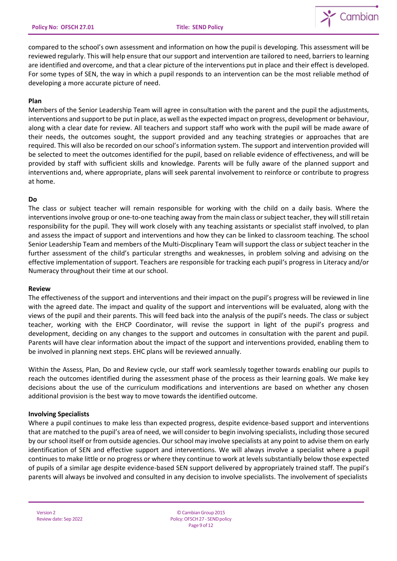

compared to the school's own assessment and information on how the pupil is developing. This assessment will be reviewed regularly. This will help ensure that our support and intervention are tailored to need, barriers to learning are identified and overcome, and that a clear picture of the interventions put in place and their effect is developed. For some types of SEN, the way in which a pupil responds to an intervention can be the most reliable method of developing a more accurate picture of need.

#### **Plan**

Members of the Senior Leadership Team will agree in consultation with the parent and the pupil the adjustments, interventions and support to be put in place, as well as the expected impact on progress, development or behaviour, along with a clear date for review. All teachers and support staff who work with the pupil will be made aware of their needs, the outcomes sought, the support provided and any teaching strategies or approaches that are required. This will also be recorded on our school's information system. The support and intervention provided will be selected to meet the outcomes identified for the pupil, based on reliable evidence of effectiveness, and will be provided by staff with sufficient skills and knowledge. Parents will be fully aware of the planned support and interventions and, where appropriate, plans will seek parental involvement to reinforce or contribute to progress at home.

### **Do**

The class or subject teacher will remain responsible for working with the child on a daily basis. Where the interventions involve group or one-to-one teaching away from the main class or subject teacher, they will still retain responsibility for the pupil. They will work closely with any teaching assistants or specialist staff involved, to plan and assess the impact of support and interventions and how they can be linked to classroom teaching. The school Senior Leadership Team and members of the Multi-Discplinary Team willsupport the class or subject teacher in the further assessment of the child's particular strengths and weaknesses, in problem solving and advising on the effective implementation of support. Teachers are responsible for tracking each pupil's progress in Literacy and/or Numeracy throughout their time at our school.

#### **Review**

The effectiveness of the support and interventions and their impact on the pupil's progress will be reviewed in line with the agreed date. The impact and quality of the support and interventions will be evaluated, along with the views of the pupil and their parents. This will feed back into the analysis of the pupil's needs. The class or subject teacher, working with the EHCP Coordinator, will revise the support in light of the pupil's progress and development, deciding on any changes to the support and outcomes in consultation with the parent and pupil. Parents will have clear information about the impact of the support and interventions provided, enabling them to be involved in planning next steps. EHC plans will be reviewed annually.

Within the Assess, Plan, Do and Review cycle, our staff work seamlessly together towards enabling our pupils to reach the outcomes identified during the assessment phase of the process as their learning goals. We make key decisions about the use of the curriculum modifications and interventions are based on whether any chosen additional provision is the best way to move towards the identified outcome.

# **Involving Specialists**

Where a pupil continues to make less than expected progress, despite evidence-based support and interventions that are matched to the pupil's area of need, we will consider to begin involving specialists, including those secured by our school itself or from outside agencies. Our school may involve specialists at any point to advise them on early identification of SEN and effective support and interventions. We will always involve a specialist where a pupil continuesto make little or no progress or where they continue to work at levels substantially below those expected of pupils of a similar age despite evidence-based SEN support delivered by appropriately trained staff. The pupil's parents will always be involved and consulted in any decision to involve specialists. The involvement of specialists

©CambianGroup2015 Policy: OFSCH 27 - SEND policy Page 9 of 12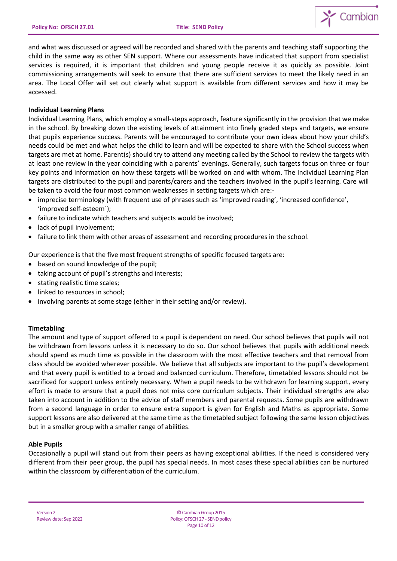

and what was discussed or agreed will be recorded and shared with the parents and teaching staff supporting the child in the same way as other SEN support. Where our assessments have indicated that support from specialist services is required, it is important that children and young people receive it as quickly as possible. Joint commissioning arrangements will seek to ensure that there are sufficient services to meet the likely need in an area. The Local Offer will set out clearly what support is available from different services and how it may be accessed.

### **Individual Learning Plans**

Individual Learning Plans, which employ a small-steps approach, feature significantly in the provision that we make in the school. By breaking down the existing levels of attainment into finely graded steps and targets, we ensure that pupils experience success. Parents will be encouraged to contribute your own ideas about how your child's needs could be met and what helps the child to learn and will be expected to share with the School success when targets are met at home. Parent(s) should try to attend any meeting called by the School to review the targets with at least one review in the year coinciding with a parents' evenings. Generally, such targets focus on three or four key points and information on how these targets will be worked on and with whom. The Individual Learning Plan targets are distributed to the pupil and parents/carers and the teachers involved in the pupil's learning. Care will be taken to avoid the four most common weaknesses in setting targets which are:-

- imprecise terminology (with frequent use of phrases such as 'improved reading', 'increased confidence', 'improved self-esteem`);
- failure to indicate which teachers and subjects would be involved;
- lack of pupil involvement;
- failure to link them with other areas of assessment and recording procedures in the school.

Our experience is that the five most frequent strengths of specific focused targets are:

- based on sound knowledge of the pupil;
- taking account of pupil's strengths and interests;
- stating realistic time scales;
- linked to resources in school;
- involving parents at some stage (either in their setting and/or review).

# **Timetabling**

The amount and type of support offered to a pupil is dependent on need. Our school believes that pupils will not be withdrawn from lessons unless it is necessary to do so. Our school believes that pupils with additional needs should spend as much time as possible in the classroom with the most effective teachers and that removal from class should be avoided wherever possible. We believe that all subjects are important to the pupil's development and that every pupil is entitled to a broad and balanced curriculum. Therefore, timetabled lessons should not be sacrificed for support unless entirely necessary. When a pupil needs to be withdrawn for learning support, every effort is made to ensure that a pupil does not miss core curriculum subjects. Their individual strengths are also taken into account in addition to the advice of staff members and parental requests. Some pupils are withdrawn from a second language in order to ensure extra support is given for English and Maths as appropriate. Some support lessons are also delivered at the same time as the timetabled subject following the same lesson objectives but in a smaller group with a smaller range of abilities.

# **Able Pupils**

Occasionally a pupil will stand out from their peers as having exceptional abilities. If the need is considered very different from their peer group, the pupil has special needs. In most cases these special abilities can be nurtured within the classroom by differentiation of the curriculum.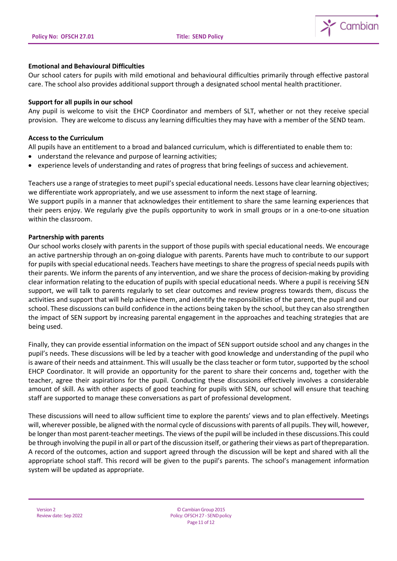

### **Emotional and Behavioural Difficulties**

Our school caters for pupils with mild emotional and behavioural difficulties primarily through effective pastoral care. The school also provides additional support through a designated school mental health practitioner.

#### **Support for all pupils in our school**

Any pupil is welcome to visit the EHCP Coordinator and members of SLT, whether or not they receive special provision. They are welcome to discuss any learning difficulties they may have with a member of the SEND team.

#### **Access to the Curriculum**

All pupils have an entitlement to a broad and balanced curriculum, which is differentiated to enable them to:

- understand the relevance and purpose of learning activities;
- experience levels of understanding and rates of progress that bring feelings of success and achievement.

Teachers use a range of strategies to meet pupil's special educational needs. Lessons have clear learning objectives; we differentiate work appropriately, and we use assessment to inform the next stage of learning.

We support pupils in a manner that acknowledges their entitlement to share the same learning experiences that their peers enjoy. We regularly give the pupils opportunity to work in small groups or in a one-to-one situation within the classroom.

#### **Partnership with parents**

Our school works closely with parents in the support of those pupils with special educational needs. We encourage an active partnership through an on-going dialogue with parents. Parents have much to contribute to our support for pupils with special educational needs. Teachers have meetings to share the progress of special needs pupils with their parents. We inform the parents of any intervention, and we share the process of decision-making by providing clear information relating to the education of pupils with special educational needs. Where a pupil is receiving SEN support, we will talk to parents regularly to set clear outcomes and review progress towards them, discuss the activities and support that will help achieve them, and identify the responsibilities of the parent, the pupil and our school. These discussions can build confidence in the actions being taken by the school, but they can also strengthen the impact of SEN support by increasing parental engagement in the approaches and teaching strategies that are being used.

Finally, they can provide essential information on the impact of SEN support outside school and any changes in the pupil's needs. These discussions will be led by a teacher with good knowledge and understanding of the pupil who is aware of their needs and attainment. This will usually be the class teacher or form tutor, supported by the school EHCP Coordinator. It will provide an opportunity for the parent to share their concerns and, together with the teacher, agree their aspirations for the pupil. Conducting these discussions effectively involves a considerable amount of skill. As with other aspects of good teaching for pupils with SEN, our school will ensure that teaching staff are supported to manage these conversations as part of professional development.

These discussions will need to allow sufficient time to explore the parents' views and to plan effectively. Meetings will, wherever possible, be aligned with the normal cycle of discussions with parents of all pupils. They will, however, be longer than most parent-teacher meetings. The views of the pupil will be included in these discussions.This could be through involving the pupil in all or part ofthe discussion itself, or gathering their views as part ofthepreparation. A record of the outcomes, action and support agreed through the discussion will be kept and shared with all the appropriate school staff. This record will be given to the pupil's parents. The school's management information system will be updated as appropriate.

Version 2 Review date: Sep 2022

©CambianGroup2015 Policy: OFSCH 27 - SEND policy Page11 of 12